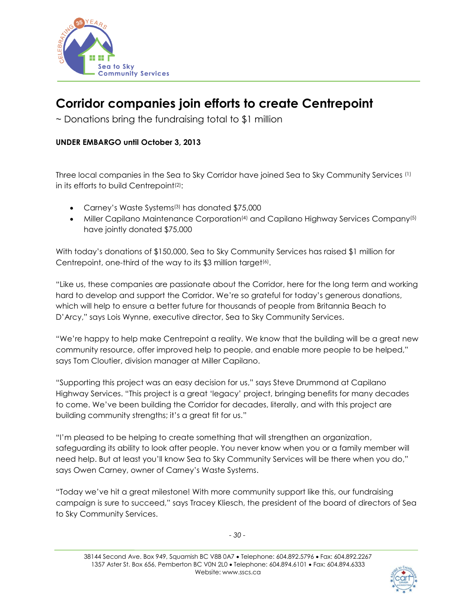

## **Corridor companies join efforts to create Centrepoint**

 $\sim$  Donations bring the fundraising total to \$1 million

## **UNDER EMBARGO until October 3, 2013**

Three local companies in the Sea to Sky Corridor have joined Sea to Sky Community Services (1) in its efforts to build Centrepoint<sup>(2)</sup>:

- Carney's Waste Systems (3) has donated \$75,000
- Miller Capilano Maintenance Corporation<sup>(4)</sup> and Capilano Highway Services Company<sup>(5)</sup> have jointly donated \$75,000

With today's donations of \$150,000, Sea to Sky Community Services has raised \$1 million for Centrepoint, one-third of the way to its \$3 million target<sup>(6)</sup>.

"Like us, these companies are passionate about the Corridor, here for the long term and working hard to develop and support the Corridor. We're so grateful for today's generous donations, which will help to ensure a better future for thousands of people from Britannia Beach to D'Arcy," says Lois Wynne, executive director, Sea to Sky Community Services.

"We're happy to help make Centrepoint a reality. We know that the building will be a great new community resource, offer improved help to people, and enable more people to be helped," says Tom Cloutier, division manager at Miller Capilano.

"Supporting this project was an easy decision for us," says Steve Drummond at Capilano Highway Services. "This project is a great 'legacy' project, bringing benefits for many decades to come. We've been building the Corridor for decades, literally, and with this project are building community strengths; it's a great fit for us."

"I'm pleased to be helping to create something that will strengthen an organization, safeguarding its ability to look after people. You never know when you or a family member will need help. But at least you'll know Sea to Sky Community Services will be there when you do," says Owen Carney, owner of Carney's Waste Systems.

"Today we've hit a great milestone! With more community support like this, our fundraising campaign is sure to succeed," says Tracey Kliesch, the president of the board of directors of Sea to Sky Community Services.

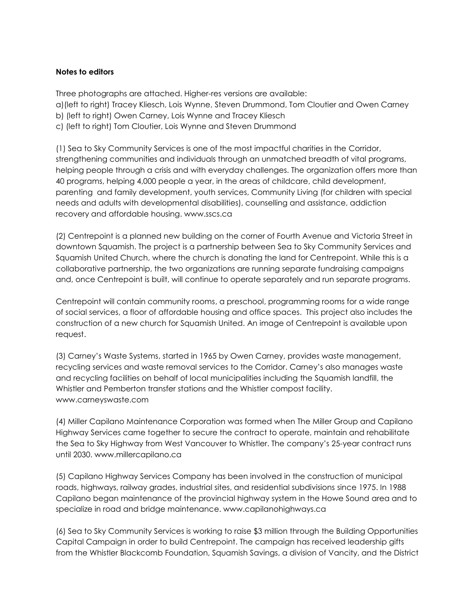## **Notes to editors**

Three photographs are attached. Higher-res versions are available: a)(left to right) Tracey Kliesch, Lois Wynne, Steven Drummond, Tom Cloutier and Owen Carney b) (left to right) Owen Carney, Lois Wynne and Tracey Kliesch c) (left to right) Tom Cloutier, Lois Wynne and Steven Drummond

(1) Sea to Sky Community Services is one of the most impactful charities in the Corridor, strengthening communities and individuals through an unmatched breadth of vital programs, helping people through a crisis and with everyday challenges. The organization offers more than 40 programs, helping 4,000 people a year, in the areas of childcare, child development, parenting and family development, youth services, Community Living (for children with special needs and adults with developmental disabilities), counselling and assistance, addiction recovery and affordable housing. www.sscs.ca

(2) Centrepoint is a planned new building on the corner of Fourth Avenue and Victoria Street in downtown Squamish. The project is a partnership between Sea to Sky Community Services and Squamish United Church, where the church is donating the land for Centrepoint. While this is a collaborative partnership, the two organizations are running separate fundraising campaigns and, once Centrepoint is built, will continue to operate separately and run separate programs.

Centrepoint will contain community rooms, a preschool, programming rooms for a wide range of social services, a floor of affordable housing and office spaces. This project also includes the construction of a new church for Squamish United. An image of Centrepoint is available upon request.

(3) Carney's Waste Systems, started in 1965 by Owen Carney, provides waste management, recycling services and waste removal services to the Corridor. Carney's also manages waste and recycling facilities on behalf of local municipalities including the Squamish landfill, the Whistler and Pemberton transfer stations and the Whistler compost facility. www.carneyswaste.com

(4) Miller Capilano Maintenance Corporation was formed when The Miller Group and Capilano Highway Services came together to secure the contract to operate, maintain and rehabilitate the Sea to Sky Highway from West Vancouver to Whistler. The company's 25-year contract runs until 2030. www.millercapilano.ca

(5) Capilano Highway Services Company has been involved in the construction of municipal roads, highways, railway grades, industrial sites, and residential subdivisions since 1975. In 1988 Capilano began maintenance of the provincial highway system in the Howe Sound area and to specialize in road and bridge maintenance. www.capilanohighways.ca

(6) Sea to Sky Community Services is working to raise \$3 million through the Building Opportunities Capital Campaign in order to build Centrepoint. The campaign has received leadership gifts from the Whistler Blackcomb Foundation, Squamish Savings, a division of Vancity, and the District